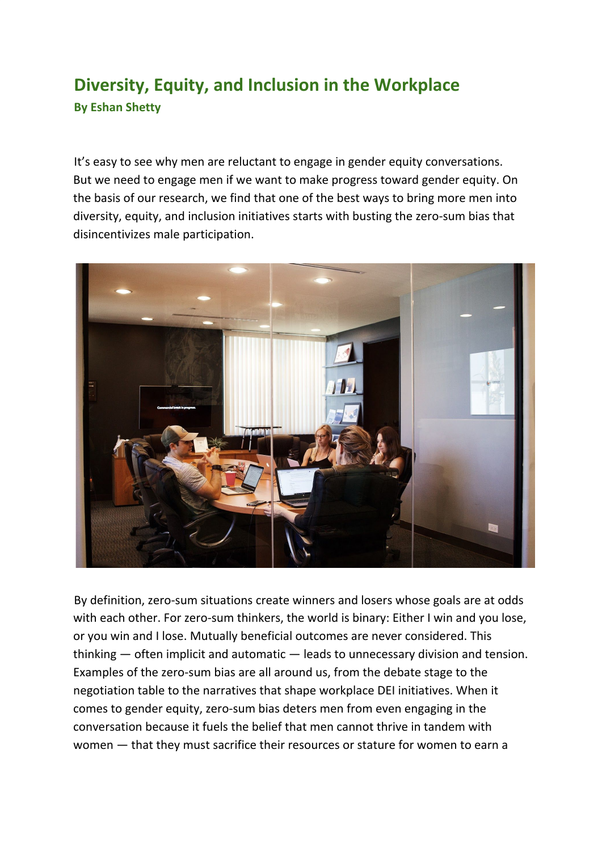## **Diversity, Equity, and Inclusion in the Workplace By Eshan Shetty**

It's easy to see why men are reluctant to engage in gender equity conversations. But we need to engage men if we want to make progress toward gender equity. On the basis of our research, we find that one of the best ways to bring more men into diversity, equity, and inclusion initiatives starts with busting the zero-sum bias that disincentivizes male participation.



By definition, zero-sum situations create winners and losers whose goals are at odds with each other. For zero-sum thinkers, the world is binary: Either I win and you lose, or you win and I lose. Mutually beneficial outcomes are never considered. This thinking — often implicit and automatic — leads to unnecessary division and tension. Examples of the zero-sum bias are all around us, from the debate stage to the negotiation table to the narratives that shape workplace DEI initiatives. When it comes to gender equity, zero-sum bias deters men from even engaging in the conversation because it fuels the belief that men cannot thrive in tandem with women — that they must sacrifice their resources or stature for women to earn a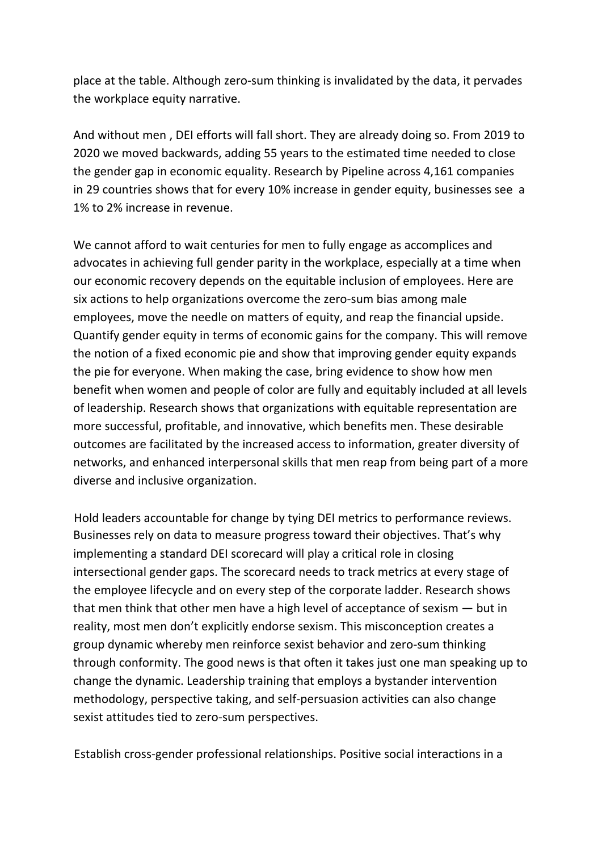place at the table. Although zero-sum thinking is invalidated by the data, it pervades the workplace equity narrative.

And without men , DEI efforts will fall short. They are already doing so. From 2019 to 2020 we moved backwards, adding 55 years to the estimated time needed to close the gender gap in economic equality. Research by Pipeline across 4,161 companies in 29 countries shows that for every 10% increase in gender equity, businesses see a 1% to 2% increase in revenue.

We cannot afford to wait centuries for men to fully engage as accomplices and advocates in achieving full gender parity in the workplace, especially at a time when our economic recovery depends on the equitable inclusion of employees. Here are six actions to help organizations overcome the zero-sum bias among male employees, move the needle on matters of equity, and reap the financial upside. Quantify gender equity in terms of economic gains for the company. This will remove the notion of a fixed economic pie and show that improving gender equity expands the pie for everyone. When making the case, bring evidence to show how men benefit when women and people of color are fully and equitably included at all levels of leadership. Research shows that organizations with equitable representation are more successful, profitable, and innovative, which benefits men. These desirable outcomes are facilitated by the increased access to information, greater diversity of networks, and enhanced interpersonal skills that men reap from being part of a more diverse and inclusive organization.

Hold leaders accountable for change by tying DEI metrics to performance reviews. Businesses rely on data to measure progress toward their objectives. That's why implementing a standard DEI scorecard will play a critical role in closing intersectional gender gaps. The scorecard needs to track metrics at every stage of the employee lifecycle and on every step of the corporate ladder. Research shows that men think that other men have a high level of acceptance of sexism — but in reality, most men don't explicitly endorse sexism. This misconception creates a group dynamic whereby men reinforce sexist behavior and zero-sum thinking through conformity. The good news is that often it takes just one man speaking up to change the dynamic. Leadership training that employs a bystander intervention methodology, perspective taking, and self-persuasion activities can also change sexist attitudes tied to zero-sum perspectives.

Establish cross-gender professional relationships. Positive social interactions in a